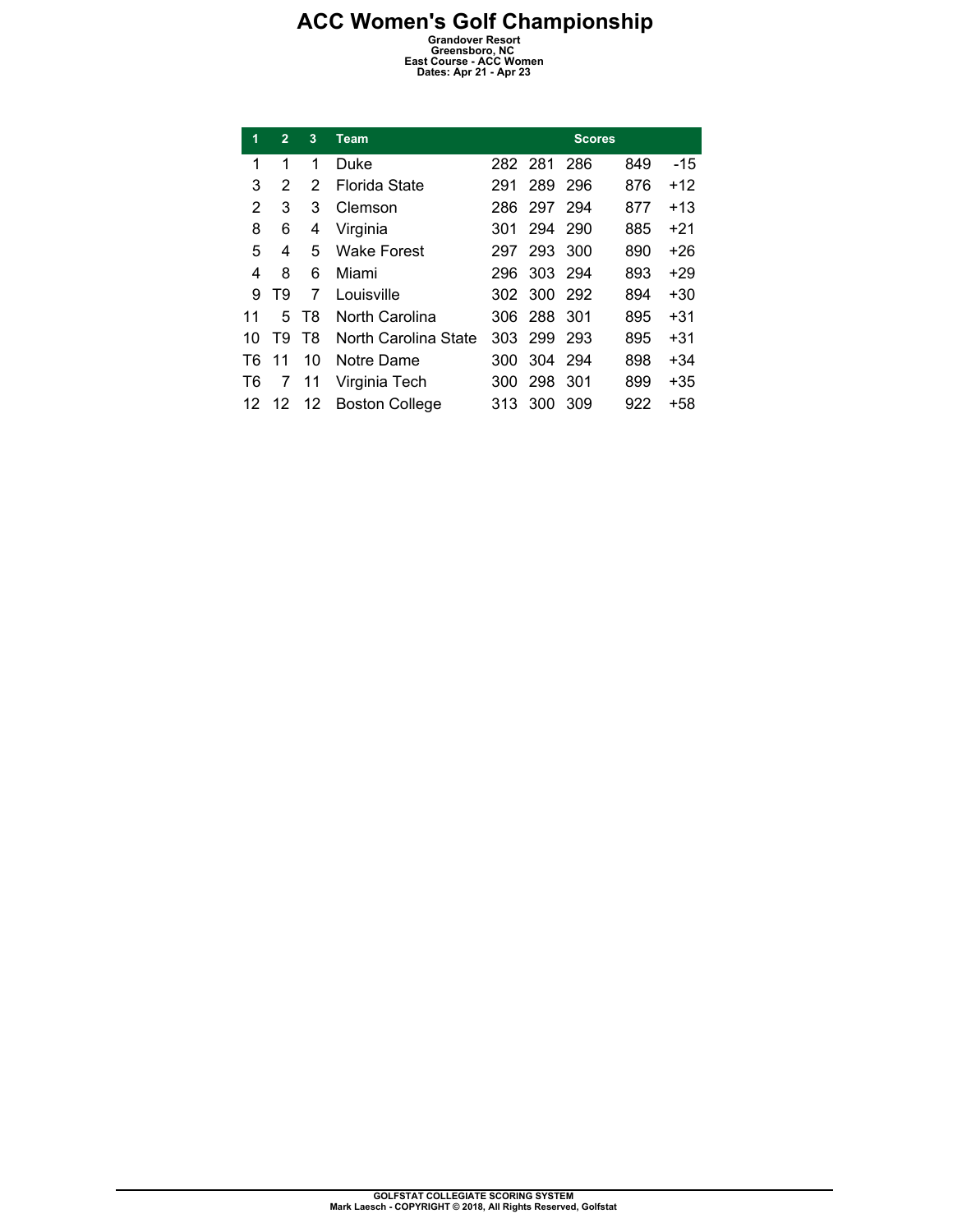## **ACC Women's Golf Championship**<br> **Grandover Resort**<br> **Greensboro, NC**<br> **East Course - ACC Women**<br>
Dates: Apr 21 - Apr 23

| 1  | $\overline{2}$ | 3  | <b>Team</b>           |      |         | <b>Scores</b> |     |       |
|----|----------------|----|-----------------------|------|---------|---------------|-----|-------|
| 1  | 1              | 1  | Duke                  |      | 282 281 | 286           | 849 | -15   |
| 3  | 2              | 2  | Florida State         | 291  | 289     | 296           | 876 | $+12$ |
| 2  | 3              | 3  | Clemson               | 286  | 297 294 |               | 877 | $+13$ |
| 8  | 6              | 4  | Virginia              | 301  | 294     | - 290         | 885 | $+21$ |
| 5  | 4              | 5  | <b>Wake Forest</b>    | 297  | 293     | 300           | 890 | $+26$ |
| 4  | 8              | 6  | Miami                 | 296  | 303 294 |               | 893 | +29   |
| 9  | T9             | 7  | Louisville            | 302  | 300 292 |               | 894 | $+30$ |
| 11 | 5.             | T8 | North Carolina        |      | 306 288 | -301          | 895 | $+31$ |
| 10 | T9             | T8 | North Carolina State  | 303  | -299    | 293           | 895 | $+31$ |
| T6 | 11             | 10 | Notre Dame            | 300  | 304 294 |               | 898 | +34   |
| T6 | 7              | 11 | Virginia Tech         | 300  | 298     | 301           | 899 | $+35$ |
| 12 | 12             | 12 | <b>Boston College</b> | 313. | 300     | 309           | 922 | +58   |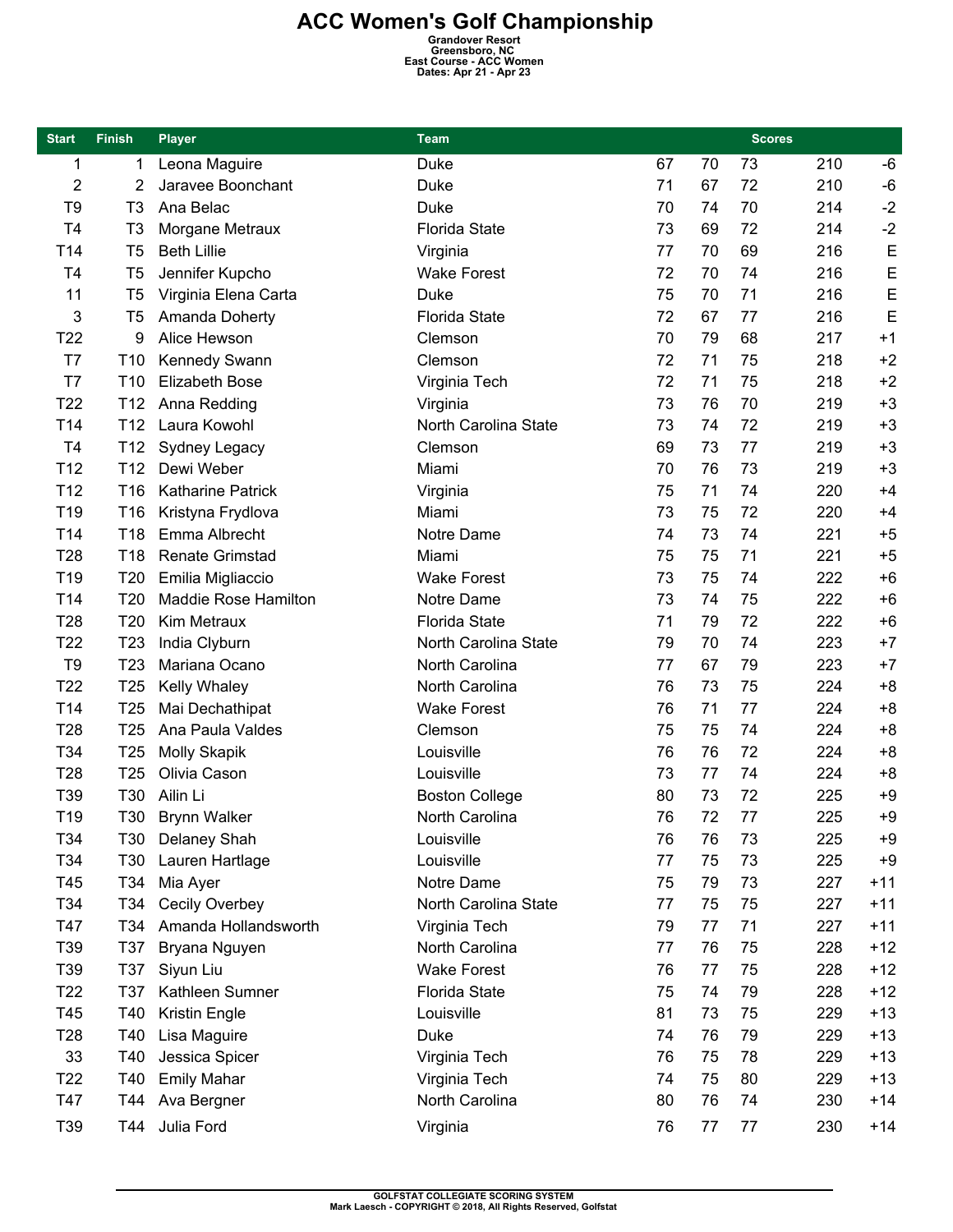## **ACC Women's Golf Championship**<br> **Grandover Resort**<br> **Greensboro, NC**<br> **East Course - ACC Women**<br>
Dates: Apr 21 - Apr 23

| <b>Start</b>    | <b>Finish</b>   | <b>Player</b>            | <b>Team</b>           |    |    | <b>Scores</b> |     |       |
|-----------------|-----------------|--------------------------|-----------------------|----|----|---------------|-----|-------|
| 1               | 1               | Leona Maguire            | Duke                  | 67 | 70 | 73            | 210 | -6    |
| $\overline{2}$  | 2               | Jaravee Boonchant        | Duke                  | 71 | 67 | 72            | 210 | $-6$  |
| T <sub>9</sub>  | T <sub>3</sub>  | Ana Belac                | Duke                  | 70 | 74 | 70            | 214 | $-2$  |
| T <sub>4</sub>  | T <sub>3</sub>  | Morgane Metraux          | <b>Florida State</b>  | 73 | 69 | 72            | 214 | $-2$  |
| T14             | T <sub>5</sub>  | <b>Beth Lillie</b>       | Virginia              | 77 | 70 | 69            | 216 | E     |
| T <sub>4</sub>  | T <sub>5</sub>  | Jennifer Kupcho          | <b>Wake Forest</b>    | 72 | 70 | 74            | 216 | E     |
| 11              | T <sub>5</sub>  | Virginia Elena Carta     | <b>Duke</b>           | 75 | 70 | 71            | 216 | E     |
| 3               | T <sub>5</sub>  | Amanda Doherty           | <b>Florida State</b>  | 72 | 67 | 77            | 216 | E     |
| T <sub>22</sub> | 9               | Alice Hewson             | Clemson               | 70 | 79 | 68            | 217 | $+1$  |
| T7              | T <sub>10</sub> | Kennedy Swann            | Clemson               | 72 | 71 | 75            | 218 | $+2$  |
| T7              | T <sub>10</sub> | <b>Elizabeth Bose</b>    | Virginia Tech         | 72 | 71 | 75            | 218 | $+2$  |
| T <sub>22</sub> | T <sub>12</sub> | Anna Redding             | Virginia              | 73 | 76 | 70            | 219 | $+3$  |
| T14             | T <sub>12</sub> | Laura Kowohl             | North Carolina State  | 73 | 74 | 72            | 219 | $+3$  |
| T <sub>4</sub>  | T <sub>12</sub> | Sydney Legacy            | Clemson               | 69 | 73 | 77            | 219 | $+3$  |
| T12             | T <sub>12</sub> | Dewi Weber               | Miami                 | 70 | 76 | 73            | 219 | $+3$  |
| T <sub>12</sub> | T16             | <b>Katharine Patrick</b> | Virginia              | 75 | 71 | 74            | 220 | $+4$  |
| T <sub>19</sub> | T16             | Kristyna Frydlova        | Miami                 | 73 | 75 | 72            | 220 | $+4$  |
| T14             | T18             | Emma Albrecht            | Notre Dame            | 74 | 73 | 74            | 221 | $+5$  |
| T <sub>28</sub> | T18             | <b>Renate Grimstad</b>   | Miami                 | 75 | 75 | 71            | 221 | $+5$  |
| T <sub>19</sub> | T20             | Emilia Migliaccio        | <b>Wake Forest</b>    | 73 | 75 | 74            | 222 | $+6$  |
| T <sub>14</sub> | T <sub>20</sub> | Maddie Rose Hamilton     | Notre Dame            | 73 | 74 | 75            | 222 | $+6$  |
| T <sub>28</sub> | T20             | Kim Metraux              | <b>Florida State</b>  | 71 | 79 | 72            | 222 | $+6$  |
| T <sub>22</sub> | T <sub>23</sub> | India Clyburn            | North Carolina State  | 79 | 70 | 74            | 223 | $+7$  |
| T <sub>9</sub>  | T <sub>23</sub> | Mariana Ocano            | North Carolina        | 77 | 67 | 79            | 223 | $+7$  |
| T <sub>22</sub> | T <sub>25</sub> | Kelly Whaley             | North Carolina        | 76 | 73 | 75            | 224 | $+8$  |
| T14             | T <sub>25</sub> | Mai Dechathipat          | <b>Wake Forest</b>    | 76 | 71 | 77            | 224 | $+8$  |
| T28             | T <sub>25</sub> | Ana Paula Valdes         | Clemson               | 75 | 75 | 74            | 224 | $+8$  |
| T34             | T <sub>25</sub> | Molly Skapik             | Louisville            | 76 | 76 | 72            | 224 | $+8$  |
| T <sub>28</sub> | T <sub>25</sub> | Olivia Cason             | Louisville            | 73 | 77 | 74            | 224 | $+8$  |
| T39             | T30             | Ailin Li                 | <b>Boston College</b> | 80 | 73 | 72            | 225 | $+9$  |
| T19             | T30             | <b>Brynn Walker</b>      | North Carolina        | 76 | 72 | 77            | 225 | $+9$  |
| T34             | T30             | Delaney Shah             | Louisville            | 76 | 76 | 73            | 225 | $+9$  |
| T34             | T30             | Lauren Hartlage          | Louisville            | 77 | 75 | 73            | 225 | $+9$  |
| T45             | T34             | Mia Ayer                 | Notre Dame            | 75 | 79 | 73            | 227 | $+11$ |
| T34             | T34             | Cecily Overbey           | North Carolina State  | 77 | 75 | 75            | 227 | $+11$ |
| T47             | T34             | Amanda Hollandsworth     | Virginia Tech         | 79 | 77 | 71            | 227 | $+11$ |
| T39             | T37             | Bryana Nguyen            | North Carolina        | 77 | 76 | 75            | 228 | $+12$ |
| T39             | T37             | Siyun Liu                | <b>Wake Forest</b>    | 76 | 77 | 75            | 228 | $+12$ |
| T <sub>22</sub> | T37             | Kathleen Sumner          | <b>Florida State</b>  | 75 | 74 | 79            | 228 | $+12$ |
| T45             | T40             | Kristin Engle            | Louisville            | 81 | 73 | 75            | 229 | $+13$ |
| T <sub>28</sub> | T40             | Lisa Maguire             | Duke                  | 74 | 76 | 79            | 229 | $+13$ |
| 33              | T40             | Jessica Spicer           | Virginia Tech         | 76 | 75 | 78            | 229 | $+13$ |
| T <sub>22</sub> | T40             | <b>Emily Mahar</b>       | Virginia Tech         | 74 | 75 | 80            | 229 | $+13$ |
| T47             | T44             | Ava Bergner              | North Carolina        | 80 | 76 | 74            | 230 | $+14$ |
| T39             | T44             | Julia Ford               | Virginia              | 76 | 77 | 77            | 230 | $+14$ |